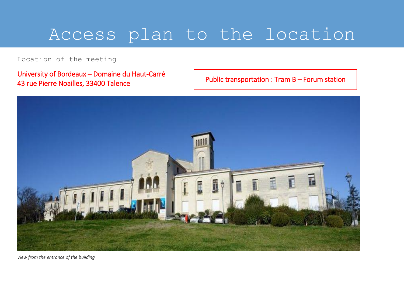## Access plan to the location

Location of the meeting

University of Bordeaux – Domaine du Haut-Carré 43 rue Pierre Noailles, 33400 Talence

Public transportation : Tram B – Forum station



*View from the entrance of the building*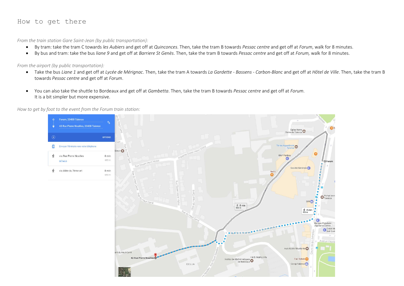## How to get there

*From the train station Gare Saint-Jean (by public transportation):*

- By tram: take the tram C towards *les Aubiers* and get off at *Quinconces*. Then, take the tram B towards *Pessac centre* and get off at *Forum*, walk for 8 minutes.
- By bus and tram: take the bus *liane 9* and get off at *Barriere St Genès*. Then, take the tram B towards *Pessac centre* and get off at *Forum,* walk for 8 minutes.

C.E.L.I.A

*From the airport (by public transportation):*

 Take the bus *Liane 1* and get off at *Lycée de Mérignac*. Then, take the tram A towards *La Gardette - Bassens - Carbon-Blanc* and get off at *Hôtel de Ville*. Then, take the tram B towards *Pessac centre* and get off at *Forum*.

Eglise Notre<br>Dame de Talence

'e

Société Générale

 $\epsilon$ 

 $\Omega$ 

画 **SFR** 

> $\bullet$ **Banque Populaire** Aquitaine Centre. Crédit Mu

 $\oint_{600 \text{ m}} 8 \text{ min}$ 

Auto Ecole l'Etudiante

Fac Kebab

Corep Talence<sup>C</sup>

I.M.B. Maths Info

Institut de Mathématiques

 $OE$ 

Pichet Imn

 You can also take the shuttle to Bordeaux and get off at *Gambetta*. Then, take the tram B towards *Pessac centre* and get off at *Forum*. It is a bit simpler but more expensive.

Forum, 33400 Talence 43 Rue Pierre Noailles, 33400 Talenc  $\overline{G}$ OPTIONS Ténéo Apparthotel<br>Talence 日 Envoyer l'itinéraire vers votre téléphone **BNP Paribas** via Rue Pierre Noailles 8 min 600 m **DÉTAILS** via Allée du 7ème art 8 min Neth 650 m  $\underset{650 \text{ m}}{\cancel{\pi}}$  8 min

ant du Haut-Carré

43 Rue Pierre Noaill

## *How to get by foot to the event from the Forum train station:*